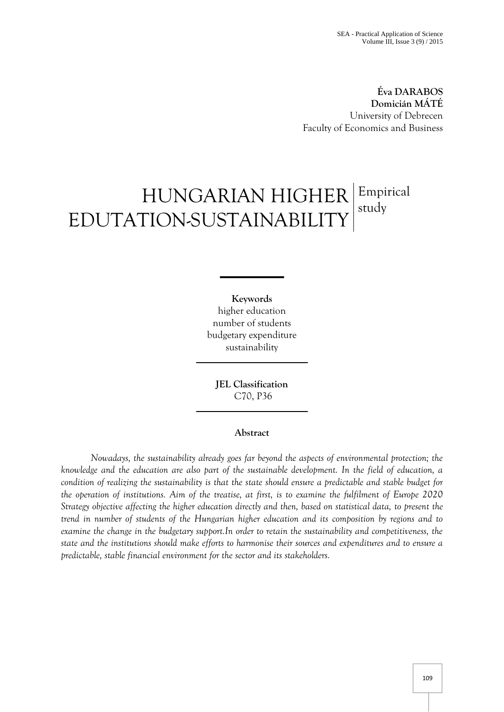**Éva DARABOS Domicián MÁTÉ** University of Debrecen Faculty of Economics and Business

# HUNGARIAN HIGHER EDUTATION-SUSTAINABILITY Empirical study

**Keywords** higher education number of students budgetary expenditure sustainability

**JEL Classification**  C70, P36

# **Abstract**

*Nowadays, the sustainability already goes far beyond the aspects of environmental protection; the knowledge and the education are also part of the sustainable development. In the field of education, a condition of realizing the sustainability is that the state should ensure a predictable and stable budget for the operation of institutions. Aim of the treatise, at first, is to examine the fulfilment of Europe 2020 Strategy objective affecting the higher education directly and then, based on statistical data, to present the trend in number of students of the Hungarian higher education and its composition by regions and to examine the change in the budgetary support.In order to retain the sustainability and competitiveness, the state and the institutions should make efforts to harmonise their sources and expenditures and to ensure a predictable, stable financial environment for the sector and its stakeholders.*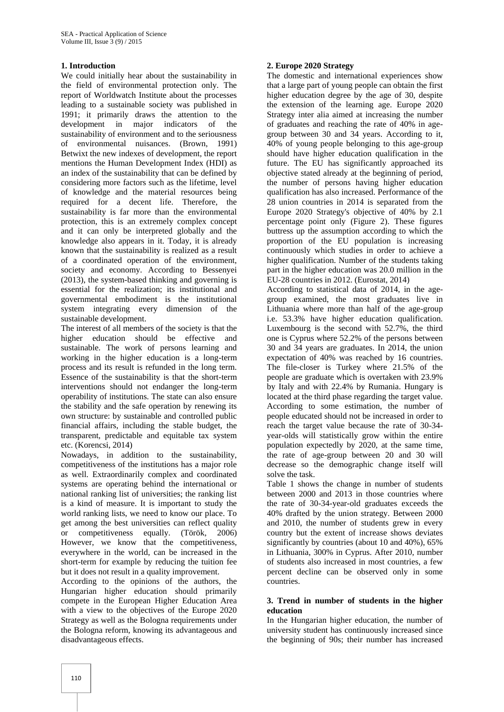## **1. Introduction**

We could initially hear about the sustainability in the field of environmental protection only. The report of Worldwatch Institute about the processes leading to a sustainable society was published in 1991; it primarily draws the attention to the development in major indicators of the sustainability of environment and to the seriousness of environmental nuisances. (Brown, 1991) Betwixt the new indexes of development, the report mentions the Human Development Index (HDI) as an index of the sustainability that can be defined by considering more factors such as the lifetime, level of knowledge and the material resources being required for a decent life. Therefore, the sustainability is far more than the environmental protection, this is an extremely complex concept and it can only be interpreted globally and the knowledge also appears in it. Today, it is already known that the sustainability is realized as a result of a coordinated operation of the environment, society and economy. According to Bessenyei (2013), the system-based thinking and governing is essential for the realization; its institutional and governmental embodiment is the institutional system integrating every dimension of the sustainable development.

The interest of all members of the society is that the higher education should be effective and sustainable. The work of persons learning and working in the higher education is a long-term process and its result is refunded in the long term. Essence of the sustainability is that the short-term interventions should not endanger the long-term operability of institutions. The state can also ensure the stability and the safe operation by renewing its own structure: by sustainable and controlled public financial affairs, including the stable budget, the transparent, predictable and equitable tax system etc. (Korencsi, 2014)

Nowadays, in addition to the sustainability, competitiveness of the institutions has a major role as well. Extraordinarily complex and coordinated systems are operating behind the international or national ranking list of universities; the ranking list is a kind of measure. It is important to study the world ranking lists, we need to know our place. To get among the best universities can reflect quality or competitiveness equally. (Török, 2006) However, we know that the competitiveness, everywhere in the world, can be increased in the short-term for example by reducing the tuition fee but it does not result in a quality improvement.

According to the opinions of the authors, the Hungarian higher education should primarily compete in the European Higher Education Area with a view to the objectives of the Europe 2020 Strategy as well as the Bologna requirements under the Bologna reform, knowing its advantageous and disadvantageous effects.

# **2. Europe 2020 Strategy**

The domestic and international experiences show that a large part of young people can obtain the first higher education degree by the age of 30, despite the extension of the learning age. Europe 2020 Strategy inter alia aimed at increasing the number of graduates and reaching the rate of 40% in agegroup between 30 and 34 years. According to it, 40% of young people belonging to this age-group should have higher education qualification in the future. The EU has significantly approached its objective stated already at the beginning of period, the number of persons having higher education qualification has also increased. Performance of the 28 union countries in 2014 is separated from the Europe 2020 Strategy's objective of 40% by 2.1 percentage point only (Figure 2). These figures buttress up the assumption according to which the proportion of the EU population is increasing continuously which studies in order to achieve a higher qualification. Number of the students taking part in the higher education was 20.0 million in the EU-28 countries in 2012. (Eurostat, 2014)

According to statistical data of 2014, in the agegroup examined, the most graduates live in Lithuania where more than half of the age-group i.e. 53.3% have higher education qualification. Luxembourg is the second with 52.7%, the third one is Cyprus where 52.2% of the persons between 30 and 34 years are graduates. In 2014, the union expectation of 40% was reached by 16 countries. The file-closer is Turkey where 21.5% of the people are graduate which is overtaken with 23.9% by Italy and with 22.4% by Rumania. Hungary is located at the third phase regarding the target value. According to some estimation, the number of people educated should not be increased in order to reach the target value because the rate of 30-34 year-olds will statistically grow within the entire population expectedly by 2020, at the same time, the rate of age-group between 20 and 30 will decrease so the demographic change itself will solve the task.

Table 1 shows the change in number of students between 2000 and 2013 in those countries where the rate of 30-34-year-old graduates exceeds the 40% drafted by the union strategy. Between 2000 and 2010, the number of students grew in every country but the extent of increase shows deviates significantly by countries (about 10 and 40%), 65% in Lithuania, 300% in Cyprus. After 2010, number of students also increased in most countries, a few percent decline can be observed only in some countries.

### **3. Trend in number of students in the higher education**

In the Hungarian higher education, the number of university student has continuously increased since the beginning of 90s; their number has increased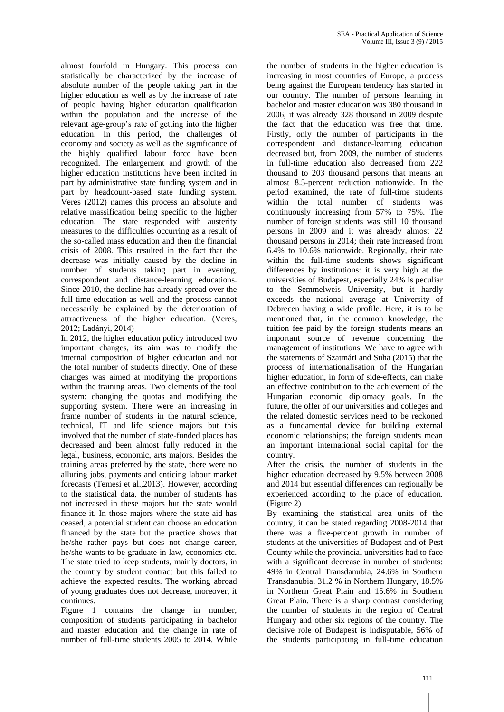almost fourfold in Hungary. This process can statistically be characterized by the increase of absolute number of the people taking part in the higher education as well as by the increase of rate of people having higher education qualification within the population and the increase of the relevant age-group's rate of getting into the higher education. In this period, the challenges of economy and society as well as the significance of the highly qualified labour force have been recognized. The enlargement and growth of the higher education institutions have been incited in part by administrative state funding system and in part by headcount-based state funding system. Veres (2012) names this process an absolute and relative massification being specific to the higher education. The state responded with austerity measures to the difficulties occurring as a result of the so-called mass education and then the financial crisis of 2008. This resulted in the fact that the decrease was initially caused by the decline in number of students taking part in evening, correspondent and distance-learning educations. Since 2010, the decline has already spread over the full-time education as well and the process cannot necessarily be explained by the deterioration of attractiveness of the higher education. (Veres, 2012; Ladányi, 2014)

In 2012, the higher education policy introduced two important changes, its aim was to modify the internal composition of higher education and not the total number of students directly. One of these changes was aimed at modifying the proportions within the training areas. Two elements of the tool system: changing the quotas and modifying the supporting system. There were an increasing in frame number of students in the natural science. technical, IT and life science majors but this involved that the number of state-funded places has decreased and been almost fully reduced in the legal, business, economic, arts majors. Besides the training areas preferred by the state, there were no alluring jobs, payments and enticing labour market forecasts (Temesi et al.,2013). However, according to the statistical data, the number of students has not increased in these majors but the state would finance it. In those majors where the state aid has ceased, a potential student can choose an education financed by the state but the practice shows that he/she rather pays but does not change career, he/she wants to be graduate in law, economics etc. The state tried to keep students, mainly doctors, in the country by student contract but this failed to achieve the expected results. The working abroad of young graduates does not decrease, moreover, it continues.

Figure 1 contains the change in number, composition of students participating in bachelor and master education and the change in rate of number of full-time students 2005 to 2014. While

the number of students in the higher education is increasing in most countries of Europe, a process being against the European tendency has started in our country. The number of persons learning in bachelor and master education was 380 thousand in 2006, it was already 328 thousand in 2009 despite the fact that the education was free that time. Firstly, only the number of participants in the correspondent and distance-learning education decreased but, from 2009, the number of students in full-time education also decreased from 222 thousand to 203 thousand persons that means an almost 8.5-percent reduction nationwide. In the period examined, the rate of full-time students within the total number of students was continuously increasing from 57% to 75%. The number of foreign students was still 10 thousand persons in 2009 and it was already almost 22 thousand persons in 2014; their rate increased from 6.4% to 10.6% nationwide. Regionally, their rate within the full-time students shows significant differences by institutions: it is very high at the universities of Budapest, especially 24% is peculiar to the Semmelweis University, but it hardly exceeds the national average at University of Debrecen having a wide profile. Here, it is to be mentioned that, in the common knowledge, the tuition fee paid by the foreign students means an important source of revenue concerning the management of institutions. We have to agree with the statements of Szatmári and Suha (2015) that the process of internationalisation of the Hungarian higher education, in form of side-effects, can make an effective contribution to the achievement of the Hungarian economic diplomacy goals. In the future, the offer of our universities and colleges and the related domestic services need to be reckoned as a fundamental device for building external economic relationships; the foreign students mean an important international social capital for the country.

After the crisis, the number of students in the higher education decreased by 9.5% between 2008 and 2014 but essential differences can regionally be experienced according to the place of education. (Figure 2)

By examining the statistical area units of the country, it can be stated regarding 2008-2014 that there was a five-percent growth in number of students at the universities of Budapest and of Pest County while the provincial universities had to face with a significant decrease in number of students: 49% in Central Transdanubia, 24.6% in Southern Transdanubia, 31.2 % in Northern Hungary, 18.5% in Northern Great Plain and 15.6% in Southern Great Plain. There is a sharp contrast considering the number of students in the region of Central Hungary and other six regions of the country. The decisive role of Budapest is indisputable, 56% of the students participating in full-time education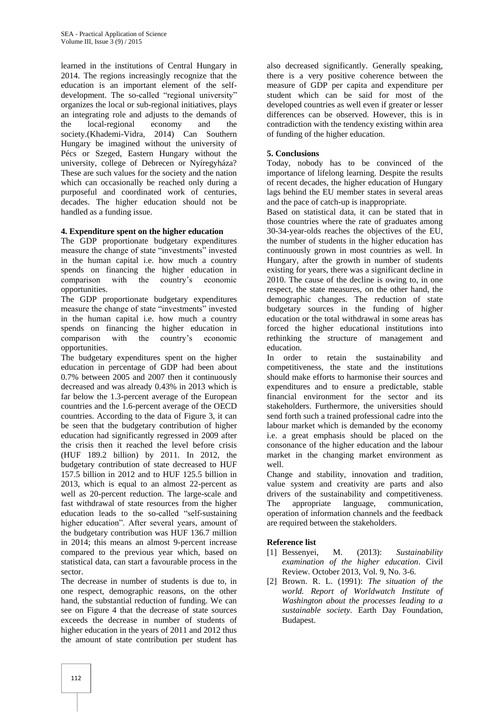learned in the institutions of Central Hungary in 2014. The regions increasingly recognize that the education is an important element of the selfdevelopment. The so-called "regional university" organizes the local or sub-regional initiatives, plays an integrating role and adjusts to the demands of the local-regional economy and the society.(Khademi-Vidra, 2014) Can Southern Hungary be imagined without the university of Pécs or Szeged, Eastern Hungary without the university, college of Debrecen or Nyíregyháza? These are such values for the society and the nation which can occasionally be reached only during a purposeful and coordinated work of centuries, decades. The higher education should not be handled as a funding issue.

## **4. Expenditure spent on the higher education**

The GDP proportionate budgetary expenditures measure the change of state "investments" invested in the human capital i.e. how much a country spends on financing the higher education in comparison with the country's economic opportunities.

The GDP proportionate budgetary expenditures measure the change of state "investments" invested in the human capital i.e. how much a country spends on financing the higher education in comparison with the country's economic opportunities.

The budgetary expenditures spent on the higher education in percentage of GDP had been about 0.7% between 2005 and 2007 then it continuously decreased and was already 0.43% in 2013 which is far below the 1.3-percent average of the European countries and the 1.6-percent average of the OECD countries. According to the data of Figure 3, it can be seen that the budgetary contribution of higher education had significantly regressed in 2009 after the crisis then it reached the level before crisis (HUF 189.2 billion) by 2011. In 2012, the budgetary contribution of state decreased to HUF 157.5 billion in 2012 and to HUF 125.5 billion in 2013, which is equal to an almost 22-percent as well as 20-percent reduction. The large-scale and fast withdrawal of state resources from the higher education leads to the so-called "self-sustaining higher education". After several years, amount of the budgetary contribution was HUF 136.7 million in 2014; this means an almost 9-percent increase compared to the previous year which, based on statistical data, can start a favourable process in the sector.

The decrease in number of students is due to, in one respect, demographic reasons, on the other hand, the substantial reduction of funding. We can see on Figure 4 that the decrease of state sources exceeds the decrease in number of students of higher education in the years of 2011 and 2012 thus the amount of state contribution per student has

also decreased significantly. Generally speaking, there is a very positive coherence between the measure of GDP per capita and expenditure per student which can be said for most of the developed countries as well even if greater or lesser differences can be observed. However, this is in contradiction with the tendency existing within area of funding of the higher education.

## **5. Conclusions**

Today, nobody has to be convinced of the importance of lifelong learning. Despite the results of recent decades, the higher education of Hungary lags behind the EU member states in several areas and the pace of catch-up is inappropriate.

Based on statistical data, it can be stated that in those countries where the rate of graduates among 30-34-year-olds reaches the objectives of the EU, the number of students in the higher education has continuously grown in most countries as well. In Hungary, after the growth in number of students existing for years, there was a significant decline in 2010. The cause of the decline is owing to, in one respect, the state measures, on the other hand, the demographic changes. The reduction of state budgetary sources in the funding of higher education or the total withdrawal in some areas has forced the higher educational institutions into rethinking the structure of management and education.

In order to retain the sustainability and competitiveness, the state and the institutions should make efforts to harmonise their sources and expenditures and to ensure a predictable, stable financial environment for the sector and its stakeholders. Furthermore, the universities should send forth such a trained professional cadre into the labour market which is demanded by the economy i.e. a great emphasis should be placed on the consonance of the higher education and the labour market in the changing market environment as well.

Change and stability, innovation and tradition, value system and creativity are parts and also drivers of the sustainability and competitiveness. The appropriate language, communication, operation of information channels and the feedback are required between the stakeholders.

# **Reference list**

- [1] Bessenyei, M. (2013): *Sustainability examination of the higher education*. Civil Review. October 2013, Vol. 9, No. 3-6.
- [2] Brown. R. L. (1991): *The situation of the world. Report of Worldwatch Institute of Washington about the processes leading to a sustainable society*. Earth Day Foundation, Budapest.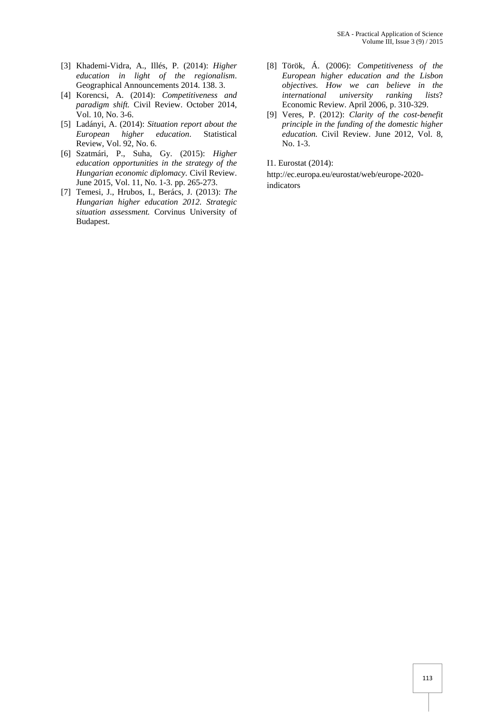- [3] Khademi-Vidra, A., Illés, P. (2014): *Higher education in light of the regionalism*. Geographical Announcements 2014. 138. 3.
- [4] Korencsi, A. (2014): *Competitiveness and paradigm shift.* Civil Review. October 2014, Vol. 10, No. 3-6.
- [5] Ladányi, A. (2014): *Situation report about the European higher education*. Statistical Review, Vol. 92, No. 6.
- [6] Szatmári, P., Suha, Gy. (2015): *Higher education opportunities in the strategy of the Hungarian economic diplomacy.* Civil Review. June 2015, Vol. 11, No. 1-3. pp. 265-273.
- [7] Temesi, J., Hrubos, I., Berács, J. (2013): *The Hungarian higher education 2012. Strategic situation assessment.* Corvinus University of Budapest.
- [8] Török, Á. (2006): *Competitiveness of the European higher education and the Lisbon objectives. How we can believe in the international university ranking lists*? Economic Review. April 2006, p. 310-329.
- [9] Veres, P. (2012): *Clarity of the cost-benefit principle in the funding of the domestic higher education.* Civil Review. June 2012, Vol. 8, No. 1-3.

I1. Eurostat (2014):

[http://ec.europa.eu/eurostat/web/europe-2020](http://ec.europa.eu/eurostat/web/europe-2020-indicators) [indicators](http://ec.europa.eu/eurostat/web/europe-2020-indicators)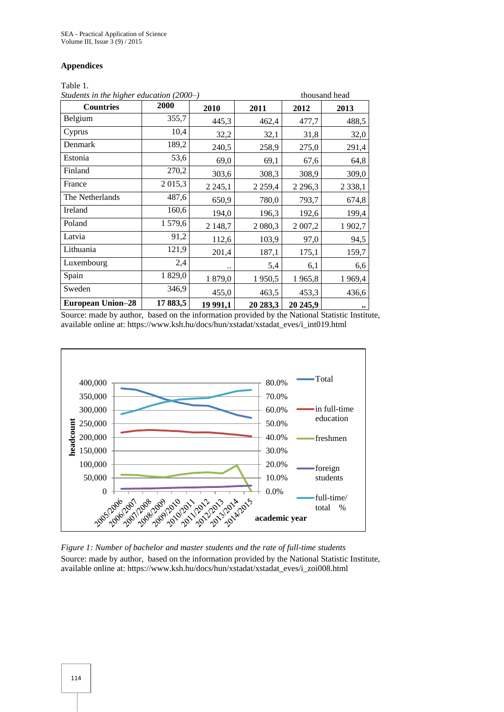#### **Appendices**

#### Table 1.

| Students in the higher education (2000–) |          |             | thousand head |            |            |
|------------------------------------------|----------|-------------|---------------|------------|------------|
| <b>Countries</b>                         | 2000     | 2010        | 2011          | 2012       | 2013       |
| Belgium                                  | 355,7    | 445,3       | 462,4         | 477,7      | 488,5      |
| Cyprus                                   | 10,4     | 32,2        | 32,1          | 31,8       | 32,0       |
| Denmark                                  | 189,2    | 240,5       | 258,9         | 275,0      | 291,4      |
| Estonia                                  | 53,6     | 69,0        | 69,1          | 67,6       | 64,8       |
| Finland                                  | 270,2    | 303,6       | 308,3         | 308,9      | 309,0      |
| France                                   | 2 015,3  | 2 2 4 5 , 1 | 2 2 5 9,4     | 2 2 9 6, 3 | 2 3 3 8, 1 |
| The Netherlands                          | 487,6    | 650,9       | 780,0         | 793,7      | 674,8      |
| Ireland                                  | 160,6    | 194,0       | 196,3         | 192,6      | 199,4      |
| Poland                                   | 1579,6   | 2 148,7     | 2 080,3       | 2 007,2    | 1 902,7    |
| Latvia                                   | 91,2     | 112,6       | 103,9         | 97,0       | 94,5       |
| Lithuania                                | 121,9    | 201,4       | 187,1         | 175,1      | 159,7      |
| Luxembourg                               | 2,4      | ٠.          | 5,4           | 6,1        | 6,6        |
| Spain                                    | 1 829,0  | 1879,0      | 1950,5        | 1965,8     | 1969,4     |
| Sweden                                   | 346,9    | 455,0       | 463,5         | 453,3      | 436,6      |
| <b>European Union-28</b>                 | 17 883,5 | 19 991,1    | 20 283,3      | 20 245,9   | $\cdot$    |

Source: made by author, based on the information provided by the National Statistic Institute, available online at[: https://www.ksh.hu/docs/hun/xstadat/xstadat\\_eves/i\\_int019.html](https://www.ksh.hu/docs/hun/xstadat/xstadat_eves/i_int019.html)



*Figure 1: Number of bachelor and master students and the rate of full-time students* Source: made by author, based on the information provided by the National Statistic Institute, available online at[: https://www.ksh.hu/docs/hun/xstadat/xstadat\\_eves/i\\_zoi008.html](https://www.ksh.hu/docs/hun/xstadat/xstadat_eves/i_zoi008.html)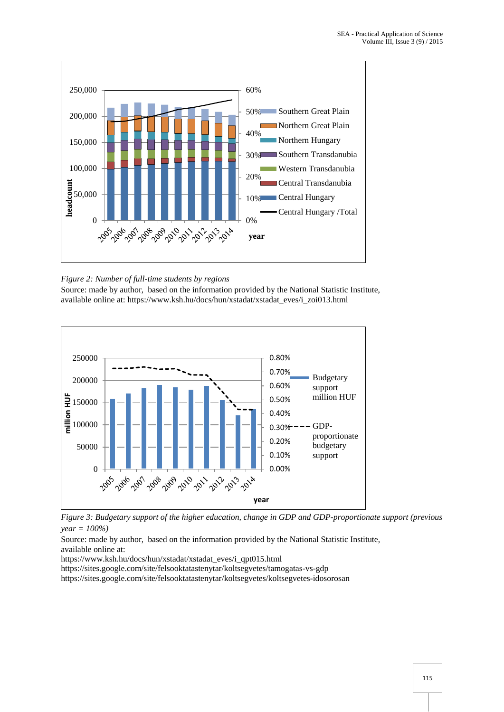

*Figure 2: Number of full-time students by regions* 

Source: made by author, based on the information provided by the National Statistic Institute, available online at[: https://www.ksh.hu/docs/hun/xstadat/xstadat\\_eves/i\\_zoi013.html](https://www.ksh.hu/docs/hun/xstadat/xstadat_eves/i_zoi013.html)





Source: made by author, based on the information provided by the National Statistic Institute, available online at:

[https://www.ksh.hu/docs/hun/xstadat/xstadat\\_eves/i\\_qpt015.html](https://www.ksh.hu/docs/hun/xstadat/xstadat_eves/i_qpt015.html)

<https://sites.google.com/site/felsooktatastenytar/koltsegvetes/tamogatas-vs-gdp>

<https://sites.google.com/site/felsooktatastenytar/koltsegvetes/koltsegvetes-idosorosan>